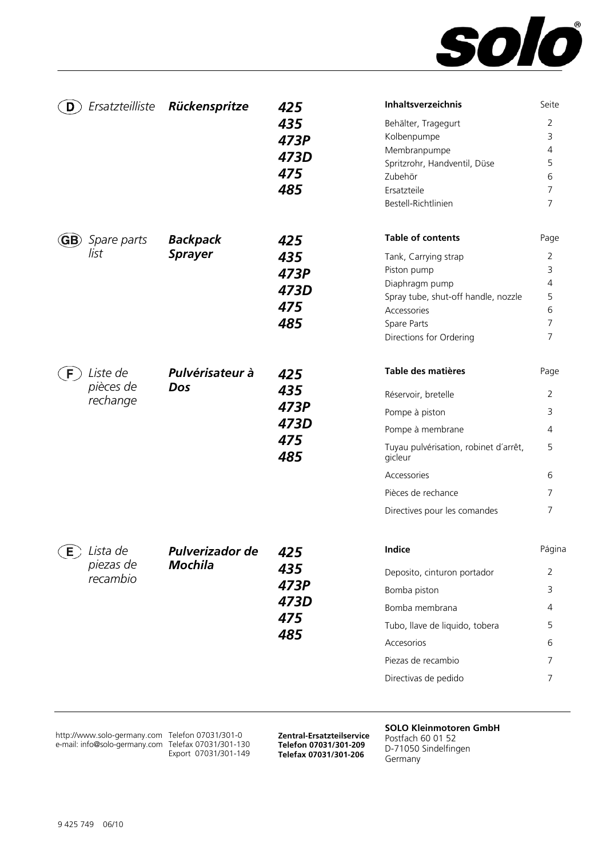

| Ersatzteilliste<br>D                                        | Rückenspritze                     | 425<br>435<br>473P<br>473D<br>475<br>485 | <b>Inhaltsverzeichnis</b><br>Behälter, Tragegurt<br>Kolbenpumpe<br>Membranpumpe<br>Spritzrohr, Handventil, Düse<br>Zubehör<br>Ersatzteile<br>Bestell-Richtlinien                                         | Seite<br>2<br>3<br>4<br>5<br>6<br>$\overline{7}$<br>7 |
|-------------------------------------------------------------|-----------------------------------|------------------------------------------|----------------------------------------------------------------------------------------------------------------------------------------------------------------------------------------------------------|-------------------------------------------------------|
| <b>GB</b> ) Spare parts<br>list                             | <b>Backpack</b><br><b>Sprayer</b> | 425<br>435<br>473P<br>473D<br>475<br>485 | <b>Table of contents</b><br>Tank, Carrying strap<br>Piston pump<br>Diaphragm pump<br>Spray tube, shut-off handle, nozzle<br>Accessories<br>Spare Parts<br>Directions for Ordering                        | Page<br>2<br>3<br>4<br>5<br>6<br>7<br>7               |
| Liste de<br>F<br>pièces de<br>rechange                      | Pulvérisateur à<br>Dos            | 425<br>435<br>473P<br>473D<br>475<br>485 | Table des matières<br>Réservoir, bretelle<br>Pompe à piston<br>Pompe à membrane<br>Tuyau pulvérisation, robinet d'arrêt,<br>gicleur<br>Accessories<br>Pièces de rechance<br>Directives pour les comandes | Page<br>2<br>3<br>4<br>5<br>6<br>7<br>7               |
| $\left(\mathsf{E}\right)$ Lista de<br>piezas de<br>recambio | Pulverizador de<br><b>Mochila</b> | 425<br>435<br>473P<br>473D<br>475<br>485 | Indice<br>Deposito, cinturon portador<br>Bomba piston<br>Bomba membrana<br>Tubo, llave de liquido, tobera<br>Accesorios<br>Piezas de recambio<br>Directivas de pedido                                    | Página<br>2<br>3<br>4<br>5<br>6<br>7<br>7             |

http://www.solo-germany.com e-mail: info@solo-germany.com

Telefon 07031/301-0 Telefax 07031/301-130 Export 07031/301-149

**Zentral-Ersatzteilservice Telefon 07031/301-209 Telefax 07031/301-206**

**SOLO Kleinmotoren GmbH**  Postfach 60 01 52 D-71050 Sindelfingen

Germany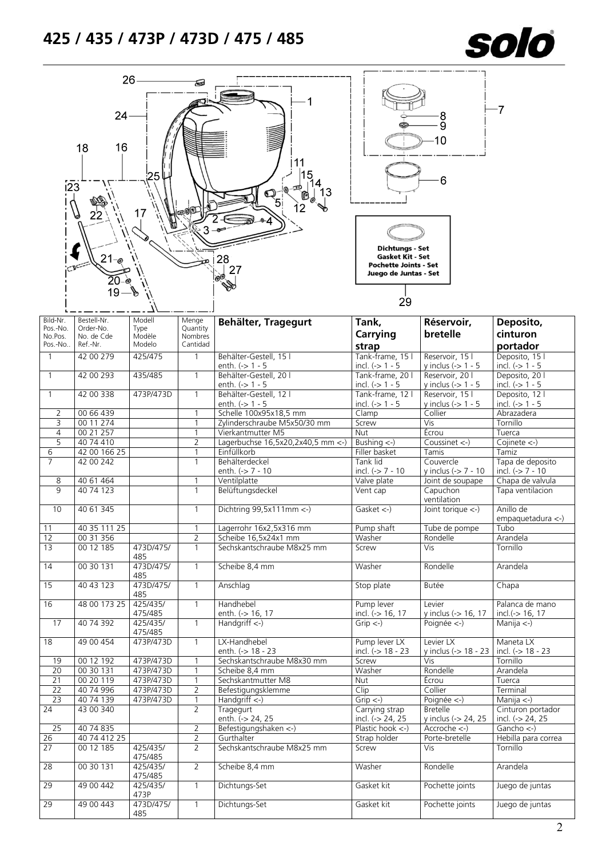

| $\overline{123}$                           | 26<br>$24 -$<br>16<br>18<br>$21 -$                 | 25<br>17                           |                                          | 11<br>28<br>27                                         | Dichtungs - Set<br><b>Gasket Kit - Set</b><br><b>Pochette Joints - Set</b><br>Juego de Juntas - Set | .<br>9<br>10<br>6                        | -7                                               |
|--------------------------------------------|----------------------------------------------------|------------------------------------|------------------------------------------|--------------------------------------------------------|-----------------------------------------------------------------------------------------------------|------------------------------------------|--------------------------------------------------|
|                                            |                                                    |                                    |                                          |                                                        | 29                                                                                                  |                                          |                                                  |
| Bild-Nr.<br>Pos.-No.<br>No.Pos.<br>Pos.-No | Bestell-Nr.<br>Order-No.<br>No. de Cde<br>Ref.-Nr. | Modell<br>Type<br>Modèle<br>Modelo | Menge<br>Quantity<br>Nombres<br>Cantidad | Behälter, Tragegurt                                    | Tank,<br>Carrying<br>strap                                                                          | Réservoir,<br>bretelle                   | Deposito,<br>cinturon<br>portador                |
| $\overline{1}$                             | 42 00 279                                          | 425/475                            | 1                                        | Behälter-Gestell, 15 l                                 | Tank-frame, 15 l                                                                                    | Reservoir, 15 l                          | Deposito, 15 l                                   |
|                                            | 42 00 293                                          | 435/485                            | $\mathbf{1}$                             | enth. $(->1 - 5$<br>Behälter-Gestell, 20 l             | incl. $(-5)$ 1 - 5                                                                                  | y inclus $(-5)$ 1 - 5                    | incl. $(-5)$ 1 - 5                               |
| $\overline{1}$                             |                                                    |                                    |                                          | enth. $(-> 1 - 5$                                      | Tank-frame, 20 l<br>incl. $(-> 1 - 5$                                                               | Reservoir, 20 l<br>y inclus $(-5)$ 1 - 5 | Deposito, 201<br>incl. $(-> 1 - 5$               |
| $\mathbf{1}$                               | 42 00 338                                          | 473P/473D                          | 1                                        | Behälter-Gestell, 12 l                                 | Tank-frame, 12 l                                                                                    | Reservoir, 15 l                          | Deposito, 12 l                                   |
|                                            |                                                    |                                    |                                          | enth. (-> 1 - 5                                        | incl. $(-> 1 - 5$                                                                                   | y inclus $(-5)$ 1 - 5                    | incl. $(-5)$ 1 - 5                               |
| 2<br>3                                     | 00 66 439<br>00 11 274                             |                                    | 1<br>1                                   | Schelle 100x95x18,5 mm<br>Zylinderschraube M5x50/30 mm | Clamp<br>Screw                                                                                      | Collier<br>Vis                           | Abrazadera<br>Tornillo                           |
| $\overline{4}$                             | 00 21 257                                          |                                    | 1                                        | Vierkantmutter M5                                      | Nut                                                                                                 | Écrou                                    | Tuerca                                           |
| 5                                          | 40 74 410                                          |                                    | 2                                        | Lagerbuchse 16,5x20,2x40,5 mm <- )                     | Bushing $\left\langle -\right\rangle$                                                               | Coussinet <-)                            | Cojinete <-)                                     |
| 6                                          | 42 00 166 25                                       |                                    | 1                                        | Einfüllkorb                                            | Filler basket                                                                                       | Tamis                                    | Tamiz                                            |
| $\overline{7}$                             | 42 00 242                                          |                                    | 1                                        | Behälterdeckel<br>enth. $(-57 - 10)$                   | Tank lid<br>incl. $(-5) - 7 - 10$                                                                   | Couvercle<br>y inclus (-> 7 - 10         | Tapa de deposito<br>incl. $(-57 - 10)$           |
| 8                                          | 40 61 464                                          |                                    |                                          | Ventilplatte                                           | Valve plate                                                                                         | Joint de soupape                         | Chapa de valvula                                 |
| 9                                          | 40 74 123                                          |                                    | 1                                        | Belüftungsdeckel                                       | Vent cap                                                                                            | Capuchon<br>ventilation                  | Tapa ventilacion                                 |
| 10                                         | 40 61 345                                          |                                    | $\mathbf{1}$                             | Dichtring $99,5x111mm <$ -)                            | Gasket <)                                                                                           | Joint torique <-)                        | Anillo de<br>$empaquetadura <$ -)                |
| 11                                         | 40 35 111 25                                       |                                    |                                          | Lagerrohr 16x2,5x316 mm                                | Pump shaft                                                                                          | Tube de pompe                            | <b>lubo</b>                                      |
| 12<br>13                                   | 0031356<br>00 12 185                               | 473D/475/                          | $\overline{2}$<br>1                      | Scheibe 16,5x24x1 mm<br>Sechskantschraube M8x25 mm     | Washer<br>Screw                                                                                     | Rondelle<br>Vis                          | Arandela<br>Tornillo                             |
| 14                                         | 00 30 131                                          | 485<br>473D/475/                   | $\mathbf{1}$                             | Scheibe 8,4 mm                                         | Washer                                                                                              | Rondelle                                 | Arandela                                         |
| 15                                         | 40 43 123                                          | 485<br>473D/475/                   | $\mathbf{1}$                             | Anschlag                                               | Stop plate                                                                                          | Butée                                    | Chapa                                            |
|                                            |                                                    | 485                                |                                          |                                                        |                                                                                                     |                                          |                                                  |
| 16                                         | 48 00 173 25                                       | 425/435/<br>475/485                | $\mathbf{1}$                             | Handhebel<br>enth. (-> 16, 17                          | Pump lever<br>incl. (-> 16, 17                                                                      | Levier<br>y inclus (-> 16, 17            | Palanca de mano<br>incl.(-> 16, 17               |
| 17                                         | 40 74 392                                          | 425/435/<br>475/485                | $\mathbf{1}$                             | Handgriff $\left\langle -\right\rangle$                | $Grip < -$                                                                                          | Poignée <-)                              | Manija $\langle - \rangle$                       |
| 18                                         | 49 00 454                                          | 473P/473D                          | $\mathbf{1}$                             | LX-Handhebel<br>enth. (-> 18 - 23                      | Pump lever LX<br>incl. (-> 18 - 23                                                                  | Levier LX<br>y inclus (-> 18 - 23        | Maneta LX<br>incl. $(-) 18 - 23$                 |
| 19                                         | 00 12 192                                          | 473P/473D                          | 1                                        | Sechskantschraube M8x30 mm                             | Screw                                                                                               | Vis                                      | Tornillo                                         |
| 20                                         | 00 30 131                                          | 473P/473D                          | 1                                        | Scheibe 8,4 mm                                         | Washer                                                                                              | Rondelle                                 | Arandela                                         |
| 21                                         | 00 20 119                                          | 473P/473D                          |                                          | Sechskantmutter M8                                     | Nut                                                                                                 | Écrou                                    | Tuerca                                           |
| 22<br>$\overline{23}$                      | 40 74 996<br>40 74 139                             | 473P/473D<br>473P/473D             | $\overline{2}$<br>1                      | Befestigungsklemme<br>Handgriff <-)                    | Clip<br>$Grip \leftarrow$                                                                           | Collier<br>Poignée <-)                   | Terminal<br>Manija $\left\langle -\right\rangle$ |
| $\overline{24}$                            | 43 00 340                                          |                                    | $\overline{2}$                           | Tragegurt                                              | Carrying strap                                                                                      | <b>Bretelle</b>                          | Cinturon portador                                |
|                                            |                                                    |                                    |                                          | enth. (-> 24, 25                                       | incl. (-> 24, 25                                                                                    | y inclus (-> 24, 25                      | incl. (-> 24, 25                                 |
| 25                                         | 40 74 835                                          |                                    | $\overline{2}$                           | Befestigungshaken <- )                                 | Plastic hook $\leftarrow$ )                                                                         | $Accroche <$ -)                          | Gancho $\leftarrow$ )                            |
| $\overline{26}$<br>$\overline{27}$         | 40 74 412 25<br>00 12 185                          | 425/435/                           | 2<br>$\overline{2}$                      | Gurthalter<br>Sechskantschraube M8x25 mm               | Strap holder<br>Screw                                                                               | Porte-bretelle<br>Vis                    | Hebilla para correa<br>Tornillo                  |
| 28                                         | 00 30 131                                          | 475/485<br>425/435/                | $\overline{2}$                           | Scheibe 8,4 mm                                         | Washer                                                                                              | Rondelle                                 | Arandela                                         |
| 29                                         | 49 00 442                                          | 475/485<br>425/435/                | 1                                        | Dichtungs-Set                                          | Gasket kit                                                                                          | Pochette joints                          | Juego de juntas                                  |
| 29                                         | 49 00 443                                          | 473P<br>473D/475/<br>485           | $\mathbf{1}$                             | Dichtungs-Set                                          | Gasket kit                                                                                          | Pochette joints                          | Juego de juntas                                  |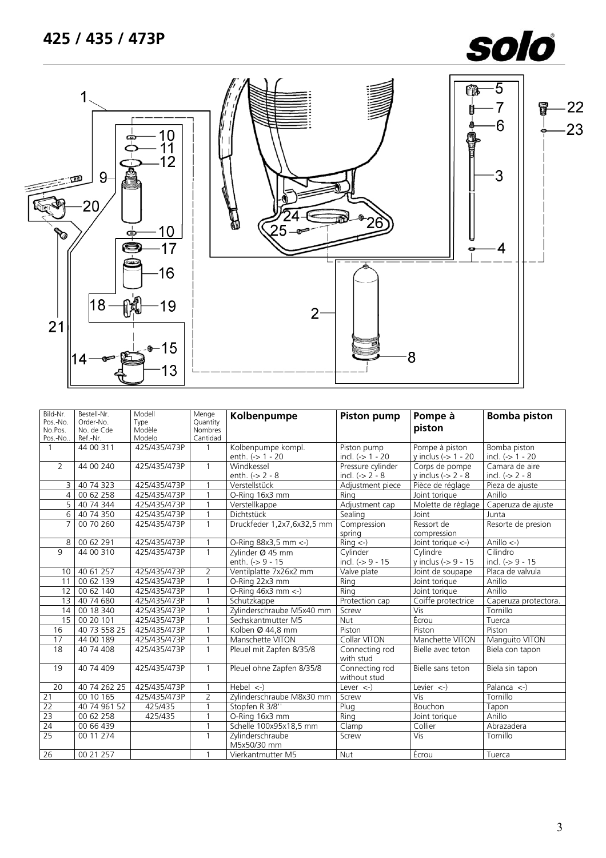# **425 / 435 / 473P**

# solo



| Bild-Nr.<br>Pos.-No.<br>No.Pos.<br>Pos.-No | Bestell-Nr.<br>Order-No.<br>No. de Cde<br>Ref.-Nr. | Modell<br>Type<br>Modèle<br>Modelo | Menge<br>Quantity<br><b>Nombres</b><br>Cantidad | Kolbenpumpe                            | <b>Piston pump</b>                    | Pompe à<br>piston                           | <b>Bomba piston</b>                |
|--------------------------------------------|----------------------------------------------------|------------------------------------|-------------------------------------------------|----------------------------------------|---------------------------------------|---------------------------------------------|------------------------------------|
| $\mathbf{1}$                               | 44 00 311                                          | 425/435/473P                       | $\mathbf{1}$                                    | Kolbenpumpe kompl.<br>enth. (-> 1 - 20 | Piston pump<br>incl. $(-> 1 - 20$     | Pompe à piston<br>y inclus $(-5 1 - 20$     | Bomba piston<br>incl. $(-> 1 - 20$ |
| $\overline{2}$                             | 44 00 240                                          | 425/435/473P                       | $\mathbf{1}$                                    | Windkessel<br>enth. $(-2 - 8)$         | Pressure cylinder<br>incl. $(-2 - 8)$ | Corps de pompe<br>y inclus $(-2 - 8)$       | Camara de aire<br>incl. $(-2 - 8)$ |
| 3                                          | 40 74 323                                          | 425/435/473P                       |                                                 | Verstellstück                          | Adjustment piece                      | Pièce de réglage                            | Pieza de ajuste                    |
| $\overline{4}$                             | 00 62 258                                          | 425/435/473P                       |                                                 | O-Ring 16x3 mm                         | Rina                                  | Joint torique                               | Anillo                             |
| $5^{-}$                                    | 40 74 344                                          | 425/435/473P                       |                                                 | Verstellkappe                          | Adjustment cap                        | Molette de réglage                          | Caperuza de ajuste                 |
| $6 \overline{}$                            | 40 74 350                                          | 425/435/473P                       | 1                                               | Dichtstück                             | Sealing                               | Joint                                       | Junta                              |
| $\overline{7}$                             | 00 70 260                                          | 425/435/473P                       | $\overline{1}$                                  | Druckfeder 1,2x7,6x32,5 mm             | Compression<br>spring                 | Ressort de<br>compression                   | Resorte de presion                 |
| 8                                          | 00 62 291                                          | 425/435/473P                       |                                                 | O-Ring 88x3,5 mm <- )                  | $Ring < -$ )                          | Joint torique $\left\langle -\right\rangle$ | Anillo $\leftarrow$                |
| $\mathsf{Q}$                               | 44 00 310                                          | 425/435/473P                       | $\mathbf{1}$                                    | Zylinder Ø 45 mm                       | Cylinder                              | Cylindre                                    | Cilindro                           |
|                                            |                                                    |                                    |                                                 | enth. (-> 9 - 15                       | incl. $(-59 - 15)$                    | y inclus (-> 9 - 15                         | incl. $(-59 - 15)$                 |
| 10 <sup>°</sup>                            | 40 61 257                                          | 425/435/473P                       | $\overline{2}$                                  | Ventilplatte 7x26x2 mm                 | Valve plate                           | Joint de soupape                            | Placa de valvula                   |
| 11                                         | 00 62 139                                          | 425/435/473P                       | $\mathbf{1}$                                    | O-Ring 22x3 mm                         | Ring                                  | Joint torique                               | Anillo                             |
| 12                                         | 00 62 140                                          | 425/435/473P                       |                                                 | O-Ring $46x3$ mm $\lt$ -)              | Rina                                  | Joint torique                               | Anillo                             |
| 13                                         | 40 74 680                                          | 425/435/473P                       |                                                 | Schutzkappe                            | Protection cap                        | Coiffe protectrice                          | Caperuza protectora.               |
| 14                                         | 00 18 340                                          | 425/435/473P                       |                                                 | Zylinderschraube M5x40 mm              | Screw                                 | Vis                                         | Tornillo                           |
| 15                                         | 00 20 101                                          | 425/435/473P                       |                                                 | Sechskantmutter M5                     | Nut                                   | Écrou                                       | Tuerca                             |
| 16                                         | 40 73 558 25                                       | 425/435/473P                       | 1                                               | Kolben Ø 44,8 mm                       | Piston                                | Piston                                      | Piston                             |
| 17                                         | 44 00 189                                          | 425/435/473P                       |                                                 | Manschette VITON                       | Collar VITON                          | Manchette VITON                             | Manquito VITON                     |
| 18                                         | 40 74 408                                          | 425/435/473P                       | $\mathbf{1}$                                    | Pleuel mit Zapfen 8/35/8               | Connecting rod<br>with stud           | Bielle avec teton                           | Biela con tapon                    |
| 19                                         | 40 74 409                                          | 425/435/473P                       |                                                 | Pleuel ohne Zapfen 8/35/8              | Connecting rod<br>without stud        | Bielle sans teton                           | Biela sin tapon                    |
| 20                                         | 40 74 262 25                                       | 425/435/473P                       |                                                 | Hebel $\left\langle -\right\rangle$    | Lever $\leftarrow$ )                  | Levier $\leftarrow$ )                       | Palanca $\leftarrow$ )             |
| 21                                         | 00 10 165                                          | 425/435/473P                       | $\overline{2}$                                  | Zylinderschraube M8x30 mm              | Screw                                 | $\overline{Vis}$                            | Tornillo                           |
| $\overline{22}$                            | 40 74 961 52                                       | 425/435                            |                                                 | Stopfen R 3/8"                         | Plug                                  | <b>Bouchon</b>                              | Tapon                              |
| 23                                         | 00 62 258                                          | 425/435                            |                                                 | O-Ring 16x3 mm                         | Ring                                  | Joint torique                               | Anillo                             |
| 24                                         | 00 66 439                                          |                                    | $\mathbf{1}$                                    | Schelle 100x95x18,5 mm                 | Clamp                                 | Collier                                     | Abrazadera                         |
| 25                                         | 00 11 274                                          |                                    | $\mathbf{1}$                                    | Zylinderschraube<br>M5x50/30 mm        | Screw                                 | Vis                                         | Tornillo                           |
| 26                                         | 00 21 257                                          |                                    |                                                 | Vierkantmutter M5                      | Nut                                   | Écrou                                       | Tuerca                             |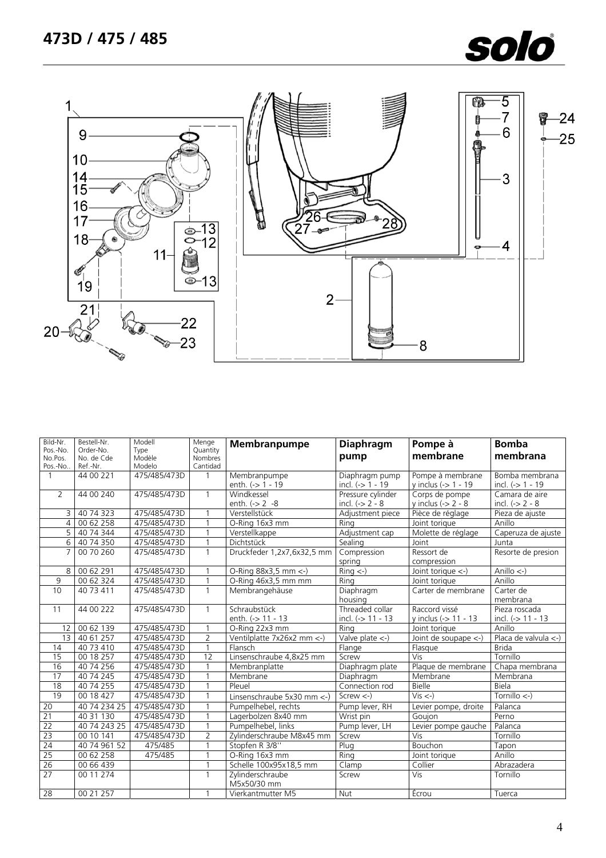



| Bild-Nr.<br>Pos.-No. | Bestell-Nr.<br>Order-No. | Modell<br>Type   | Menge<br>Quantity   | Membranpumpe                      | <b>Diaphragm</b>                          | Pompe à<br>membrane                                       | <b>Bomba</b><br>membrana                       |
|----------------------|--------------------------|------------------|---------------------|-----------------------------------|-------------------------------------------|-----------------------------------------------------------|------------------------------------------------|
| No.Pos.<br>Pos.-No.  | No. de Cde<br>Ref.-Nr.   | Modèle<br>Modelo | Nombres<br>Cantidad |                                   | pump                                      |                                                           |                                                |
| $\mathbf{1}$         | 44 00 221                | 475/485/473D     | $\mathbf{1}$        | Membranpumpe<br>enth. (-> 1 - 19  | Diaphragm pump<br>incl. $(-> 1 - 19)$     | Pompe à membrane<br>y inclus (-> 1 - 19                   | Bomba membrana<br>incl. $(-5)$ 1 - 19          |
| $\overline{2}$       | 44 00 240                | 475/485/473D     | $\mathbf{1}$        | Windkessel<br>enth. $(-2 - 8)$    | Pressure cylinder<br>incl. $(-2 - 8)$     | Corps de pompe<br>y inclus $\left(\frac{1}{2}\right)$ - 8 | Camara de aire<br>incl. $(-2 - 8)$             |
| 3                    | 40 74 323                | 475/485/473D     |                     | Verstellstück                     | Adjustment piece                          | Pièce de réglage                                          | Pieza de ajuste                                |
| $\overline{4}$       | 0062258                  | 475/485/473D     |                     | O-Ring 16x3 mm                    | Ring                                      | Joint torique                                             | Anillo                                         |
| $\overline{5}$       | 40 74 344                | 475/485/473D     |                     | Verstellkappe                     | Adjustment cap                            | Molette de réglage                                        | Caperuza de ajuste                             |
| $6 \overline{}$      | 40 74 350                | 475/485/473D     | $\mathbf{1}$        | Dichtstück                        | Sealing                                   | Joint                                                     | Junta                                          |
| $\overline{7}$       | 00 70 260                | 475/485/473D     | $\mathbf{1}$        | Druckfeder 1,2x7,6x32,5 mm        | Compression<br>spring                     | Ressort de<br>compression                                 | Resorte de presion                             |
| 8                    | 00 62 291                | 475/485/473D     |                     | O-Ring 88x3,5 mm <-)              | $\overline{Ring}$ <-)                     | Joint torique <-)                                         | Anillo $\leftarrow$ )                          |
| 9                    | 00 62 324                | 475/485/473D     | $\mathbf{1}$        | O-Ring 46x3,5 mm mm               | Rina                                      | Joint torique                                             | Anillo                                         |
| 10                   | 40 73 411                | 475/485/473D     | $\mathbf{1}$        | Membrangehäuse                    | Diaphragm<br>housing                      | Carter de membrane                                        | Carter de<br>membrana                          |
| 11                   | 44 00 222                | 475/485/473D     | $\mathbf{1}$        | Schraubstück<br>enth. (-> 11 - 13 | Threaded collar<br>incl. (-> 11 - 13      | Raccord vissé<br>y inclus (-> 11 - 13                     | Pieza roscada<br>incl. $(-) 11 - 13$           |
| 12                   | 00 62 139                | 475/485/473D     | 1                   | O-Ring 22x3 mm                    | Rina                                      | Joint torique                                             | Anillo                                         |
| $\overline{13}$      | 40 61 257                | 475/485/473D     | $\overline{2}$      | Ventilplatte 7x26x2 mm <- )       | Valve plate $\left\langle -\right\rangle$ | Joint de soupape <-)                                      | Placa de valvula $\left\langle -\right\rangle$ |
| 14                   | 40 73 410                | 475/485/473D     | $\mathbf{1}$        | Flansch                           | Flange                                    | Flasque                                                   | <b>Brida</b>                                   |
| 15                   | 00 18 257                | 475/485/473D     | $\overline{12}$     | Linsenschraube 4,8x25 mm          | Screw                                     | Vis                                                       | Tornillo                                       |
| 16                   | 40 74 256                | 475/485/473D     | 1                   | Membranplatte                     | Diaphragm plate                           | Plaque de membrane                                        | Chapa membrana                                 |
| 17                   | 40 74 245                | 475/485/473D     | $\mathbf{1}$        | Membrane                          | Diaphragm                                 | Membrane                                                  | Membrana                                       |
| 18                   | 40 74 255                | 475/485/473D     | $\mathbf{1}$        | Pleuel                            | Connection rod                            | <b>Bielle</b>                                             | Biela                                          |
| 19                   | 00 18 427                | 475/485/473D     | $\mathbf{1}$        | Linsenschraube 5x30 mm <- )       | $Screw < -$ )                             | $Vis < -$ )                                               | Tornillo $\left\langle -\right\rangle$         |
| 20                   | 40 74 234 25             | 475/485/473D     | $\mathbf{1}$        | Pumpelhebel, rechts               | Pump lever, RH                            | Levier pompe, droite                                      | Palanca                                        |
| $\overline{21}$      | 40 31 130                | 475/485/473D     | $\mathbf{1}$        | Lagerbolzen 8x40 mm               | Wrist pin                                 | Goujon                                                    | Perno                                          |
| 22                   | 40 74 243 25             | 475/485/473D     | $\mathbf{1}$        | Pumpelhebel, links                | Pump lever, LH                            | Levier pompe gauche                                       | Palanca                                        |
| 23                   | 00 10 141                | 475/485/473D     | $\overline{2}$      | Zylinderschraube M8x45 mm         | Screw                                     | Vis                                                       | Tornillo                                       |
| 24                   | 40 74 961 52             | 475/485          | $\mathbf{1}$        | Stopfen R 3/8"                    | Plug                                      | Bouchon                                                   | Tapon                                          |
| 25                   | 00 62 258                | 475/485          |                     | O-Ring 16x3 mm                    | Ring                                      | Joint torique                                             | Anillo                                         |
| 26                   | 00 66 439                |                  | $\overline{1}$      | Schelle 100x95x18,5 mm            | $\overline{C}$ lamp                       | Collier                                                   | Abrazadera                                     |
| 27                   | 00 11 274                |                  | 1                   | Zylinderschraube<br>M5x50/30 mm   | Screw                                     | Vis                                                       | Tornillo                                       |
| 28                   | 00 21 257                |                  |                     | Vierkantmutter M5                 | <b>Nut</b>                                | Écrou                                                     | Tuerca                                         |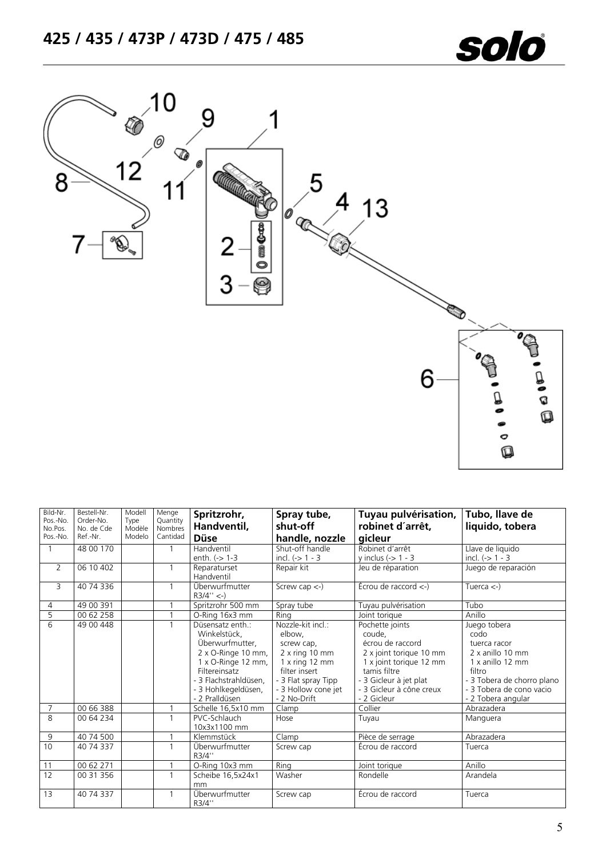



| Bild-Nr.<br>Pos.-No.<br>No.Pos.<br>Pos.-No. | Bestell-Nr.<br>Order-No.<br>No. de Cde<br>Ref.-Nr. | Modell<br>Type<br>Modèle<br>Modelo | Menge<br>Quantity<br><b>Nombres</b><br>Cantidad | Spritzrohr,<br>Handventil,<br><b>Düse</b>                                                                                                                                      | Spray tube,<br>shut-off<br>handle, nozzle                                                                                                                        | Tuyau pulvérisation,<br>robinet d'arrêt,<br>gicleur                                                                                                                                      | Tubo, llave de<br>liquido, tobera                                                                                                                                      |
|---------------------------------------------|----------------------------------------------------|------------------------------------|-------------------------------------------------|--------------------------------------------------------------------------------------------------------------------------------------------------------------------------------|------------------------------------------------------------------------------------------------------------------------------------------------------------------|------------------------------------------------------------------------------------------------------------------------------------------------------------------------------------------|------------------------------------------------------------------------------------------------------------------------------------------------------------------------|
| $\mathbf{1}$                                | 48 00 170                                          |                                    | $\mathbf{1}$                                    | Handventil<br>enth. (-> 1-3                                                                                                                                                    | Shut-off handle<br>incl. $(-> 1 - 3$                                                                                                                             | Robinet d'arrêt<br>y inclus $(-5)$ 1 - 3                                                                                                                                                 | Llave de liquido<br>incl. $(-> 1 - 3$                                                                                                                                  |
| $\overline{2}$                              | 06 10 402                                          |                                    | $\mathbf{1}$                                    | Reparaturset<br>Handventil                                                                                                                                                     | Repair kit                                                                                                                                                       | Jeu de réparation                                                                                                                                                                        | Juego de reparación                                                                                                                                                    |
| 3                                           | 40 74 336                                          |                                    | $\mathbf{1}$                                    | Überwurfmutter<br>$R3/4'' < -$                                                                                                                                                 | Screw cap $\leftarrow$ )                                                                                                                                         | $Écrou$ de raccord $\lt$ -)                                                                                                                                                              | Tuerca $\left\langle -\right\rangle$                                                                                                                                   |
| 4                                           | 49 00 391                                          |                                    | $\mathbf{1}$                                    | Spritzrohr 500 mm                                                                                                                                                              | Spray tube                                                                                                                                                       | Tuyau pulvérisation                                                                                                                                                                      | Tubo                                                                                                                                                                   |
| 5                                           | $\overline{00}$ 62 258                             |                                    | $\mathbf{1}$                                    | O-Ring 16x3 mm                                                                                                                                                                 | Rina                                                                                                                                                             | Joint torique                                                                                                                                                                            | Anillo                                                                                                                                                                 |
| $\overline{6}$                              | 49 00 448                                          |                                    | $\mathbf{1}$                                    | Düsensatz enth.:<br>Winkelstück.<br>Überwurfmutter.<br>2 x O-Ringe 10 mm,<br>1 x O-Ringe 12 mm,<br>Filtereinsatz<br>3 Flachstrahldüsen.<br>3 Hohlkegeldüsen,<br>- 2 Pralldüsen | Nozzle-kit incl.:<br>elbow,<br>screw cap,<br>$2x$ ring 10 mm<br>$1x$ ring $12$ mm<br>filter insert<br>- 3 Flat spray Tipp<br>- 3 Hollow cone jet<br>- 2 No-Drift | Pochette joints<br>coude,<br>écrou de raccord<br>2 x joint torique 10 mm<br>1 x joint torique 12 mm<br>tamis filtre<br>- 3 Gicleur à jet plat<br>- 3 Gicleur à cône creux<br>- 2 Gicleur | Juego tobera<br>codo<br>tuerca racor<br>2 x anillo 10 mm<br>1 x anillo 12 mm<br>filtro<br>- 3 Tobera de chorro plano<br>- 3 Tobera de cono vacio<br>- 2 Tobera angular |
| $\overline{7}$                              | 00 66 388                                          |                                    | $\mathbf 1$                                     | Schelle 16,5x10 mm                                                                                                                                                             | Clamp                                                                                                                                                            | Collier                                                                                                                                                                                  | Abrazadera                                                                                                                                                             |
| $\mathsf{R}$                                | 00 64 234                                          |                                    | $\mathbf{1}$                                    | PVC-Schlauch<br>10x3x1100 mm                                                                                                                                                   | Hose                                                                                                                                                             | Tuyau                                                                                                                                                                                    | Manguera                                                                                                                                                               |
| 9                                           | 40 74 500                                          |                                    |                                                 | Klemmstück                                                                                                                                                                     | Clamp                                                                                                                                                            | Pièce de serrage                                                                                                                                                                         | Abrazadera                                                                                                                                                             |
| 10                                          | 40 74 337                                          |                                    | $\mathbf{1}$                                    | Überwurfmutter<br>R3/4"                                                                                                                                                        | Screw cap                                                                                                                                                        | Écrou de raccord                                                                                                                                                                         | Tuerca                                                                                                                                                                 |
| 11                                          | 00 62 271                                          |                                    | 1                                               | O-Ring 10x3 mm                                                                                                                                                                 | Ring                                                                                                                                                             | Joint torique                                                                                                                                                                            | Anillo                                                                                                                                                                 |
| 12                                          | 00 31 356                                          |                                    | $\mathbf{1}$                                    | Scheibe 16,5x24x1<br>mm                                                                                                                                                        | Washer                                                                                                                                                           | Rondelle                                                                                                                                                                                 | Arandela                                                                                                                                                               |
| 13                                          | 40 74 337                                          |                                    | $\mathbf{1}$                                    | Überwurfmutter<br>R3/4"                                                                                                                                                        | Screw cap                                                                                                                                                        | Écrou de raccord                                                                                                                                                                         | Tuerca                                                                                                                                                                 |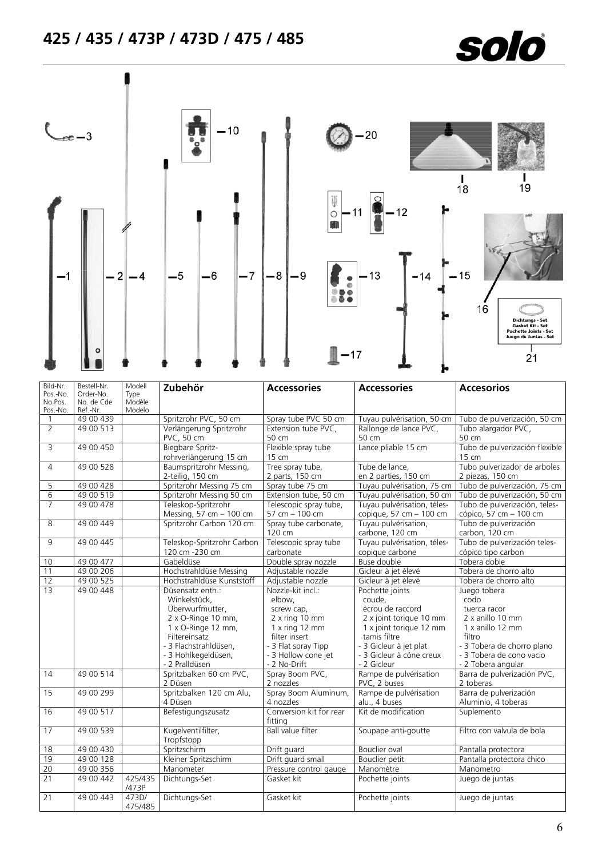# **425 / 435 / 473P / 473D / 475 / 485**



| Bild-Nr.<br>Pos.-No. | Bestell-Nr.<br>Order-No. | Modell<br>Type   | Zubehör                             | <b>Accessories</b>                 | <b>Accessories</b>                      | <b>Accesorios</b>              |
|----------------------|--------------------------|------------------|-------------------------------------|------------------------------------|-----------------------------------------|--------------------------------|
| No.Pos.<br>Pos.-No.  | No. de Cde<br>Ref.-Nr.   | Modèle<br>Modelo |                                     |                                    |                                         |                                |
| $\overline{1}$       | 49 00 439                |                  | Spritzrohr PVC, 50 cm               | Spray tube PVC 50 cm               | Tuyau pulvérisation, 50 cm              | Tubo de pulverización, 50 cm   |
| $\overline{2}$       | 49 00 513                |                  | Verlängerung Spritzrohr             | Extension tube PVC,                | Rallonge de lance PVC,                  | Tubo alargador PVC,            |
|                      |                          |                  | PVC, 50 cm                          | 50 cm                              | 50 cm                                   | 50 cm                          |
| 3                    | 49 00 450                |                  | Biegbare Spritz-                    | Flexible spray tube                | Lance pliable 15 cm                     | Tubo de pulverización flexible |
|                      |                          |                  | rohrverlängerung 15 cm              | 15 cm                              |                                         | 15 cm                          |
| $\overline{4}$       | 49 00 528                |                  | Baumspritzrohr Messing,             | Tree spray tube,                   | Tube de lance,                          | Tubo pulverizador de arboles   |
|                      |                          |                  | 2-teilig, 150 cm                    | 2 parts, 150 cm                    | en 2 parties, 150 cm                    | 2 piezas, 150 cm               |
| 5                    | 49 00 428                |                  | Spritzrohr Messing 75 cm            | Spray tube 75 cm                   | Tuyau pulvérisation, 75 cm              | Tubo de pulverización, 75 cm   |
| $\overline{6}$       | 49 00 519                |                  | Spritzrohr Messing 50 cm            | Extension tube, 50 cm              | Tuyau pulvérisation, 50 cm              | Tubo de pulverización, 50 cm   |
| $\overline{7}$       | 49 00 478                |                  | Teleskop-Spritzrohr                 | Telescopic spray tube,             | Tuyau pulvérisation, téles-             | Tubo de pulverización, teles-  |
|                      |                          |                  | Messing, 57 cm - 100 cm             | $57 cm - 100 cm$                   | copique, 57 cm - 100 cm                 | cópico, 57 cm - 100 cm         |
| 8                    | 49 00 449                |                  | Spritzrohr Carbon 120 cm            | Spray tube carbonate,              | Tuyau pulvérisation,                    | Tubo de pulverización          |
|                      |                          |                  |                                     | 120 cm                             | carbone, 120 cm                         | carbon, 120 cm                 |
| 9                    | 49 00 445                |                  | Teleskop-Spritzrohr Carbon          | Telescopic spray tube              | Tuyau pulvérisation, téles-             | Tubo de pulverización teles-   |
|                      |                          |                  | 120 cm -230 cm                      | carbonate                          | copique carbone                         | cópico tipo carbon             |
| 10                   | 49 00 477                |                  | Gabeldüse                           | Double spray nozzle                | Buse double                             | Tobera doble                   |
| 11                   | 49 00 206                |                  | Hochstrahldüse Messing              | Adjustable nozzle                  | Gicleur à jet élevé                     | Tobera de chorro alto          |
| 12                   | 49 00 525                |                  | Hochstrahldüse Kunststoff           | Adjustable nozzle                  | Gicleur à jet élevé                     | Tobera de chorro alto          |
| 13                   | 49 00 448                |                  | Düsensatz enth.:                    | Nozzle-kit incl.:                  | Pochette joints                         | Juego tobera                   |
|                      |                          |                  | Winkelstück,                        | elbow,                             | coude,                                  | codo                           |
|                      |                          |                  | Überwurfmutter,                     | screw cap,                         | écrou de raccord                        | tuerca racor                   |
|                      |                          |                  | 2 x O-Ringe 10 mm,                  | $2x$ ring 10 mm                    | 2 x joint torique 10 mm                 | 2 x anillo 10 mm               |
|                      |                          |                  | 1 x O-Ringe 12 mm,<br>Filtereinsatz | 1 x ring 12 mm<br>filter insert    | 1 x joint torique 12 mm<br>tamis filtre | 1 x anillo 12 mm<br>filtro     |
|                      |                          |                  | - 3 Flachstrahldüsen.               | - 3 Flat spray Tipp                | - 3 Gicleur à jet plat                  | - 3 Tobera de chorro plano     |
|                      |                          |                  | - 3 Hohlkegeldüsen,                 | - 3 Hollow cone jet                | - 3 Gicleur à cône creux                | - 3 Tobera de cono vacio       |
|                      |                          |                  | - 2 Pralldüsen                      | - 2 No-Drift                       | - 2 Gicleur                             | - 2 Tobera angular             |
| $\overline{14}$      | 49 00 514                |                  | Spritzbalken 60 cm PVC,             | Spray Boom PVC,                    | Rampe de pulvérisation                  | Barra de pulverización PVC,    |
|                      |                          |                  | 2 Düsen                             | 2 nozzles                          | PVC, 2 buses                            | 2 toberas                      |
| 15                   | 49 00 299                |                  | Spritzbalken 120 cm Alu,            | Spray Boom Aluminum,               | Rampe de pulvérisation                  | Barra de pulverización         |
|                      |                          |                  | 4 Düsen                             | 4 nozzles                          | alu., 4 buses                           | Aluminio, 4 toberas            |
| 16                   | 49 00 517                |                  | Befestigungszusatz                  | Conversion kit for rear<br>fittina | Kit de modification                     | Suplemento                     |
| 17                   | 49 00 539                |                  | Kugelventilfilter,<br>Tropfstopp    | <b>Ball value filter</b>           | Soupape anti-goutte                     | Filtro con valvula de bola     |
| 18                   | 49 00 430                |                  | Spritzschirm                        | Drift guard                        | <b>Bouclier</b> oval                    | Pantalla protectora            |
| 19                   | 49 00 128                |                  | Kleiner Spritzschirm                | Drift quard small                  | <b>Bouclier petit</b>                   | Pantalla protectora chico      |
| 20                   | 49 00 356                |                  | Manometer                           | Pressure control gauge             | Manomètre                               | Manometro                      |
| 21                   | 49 00 442                | 425/435<br>/473P | Dichtungs-Set                       | Gasket kit                         | Pochette joints                         | Juego de juntas                |
| 21                   | 49 00 443                | 473D/<br>475/485 | Dichtungs-Set                       | Gasket kit                         | Pochette joints                         | Juego de juntas                |